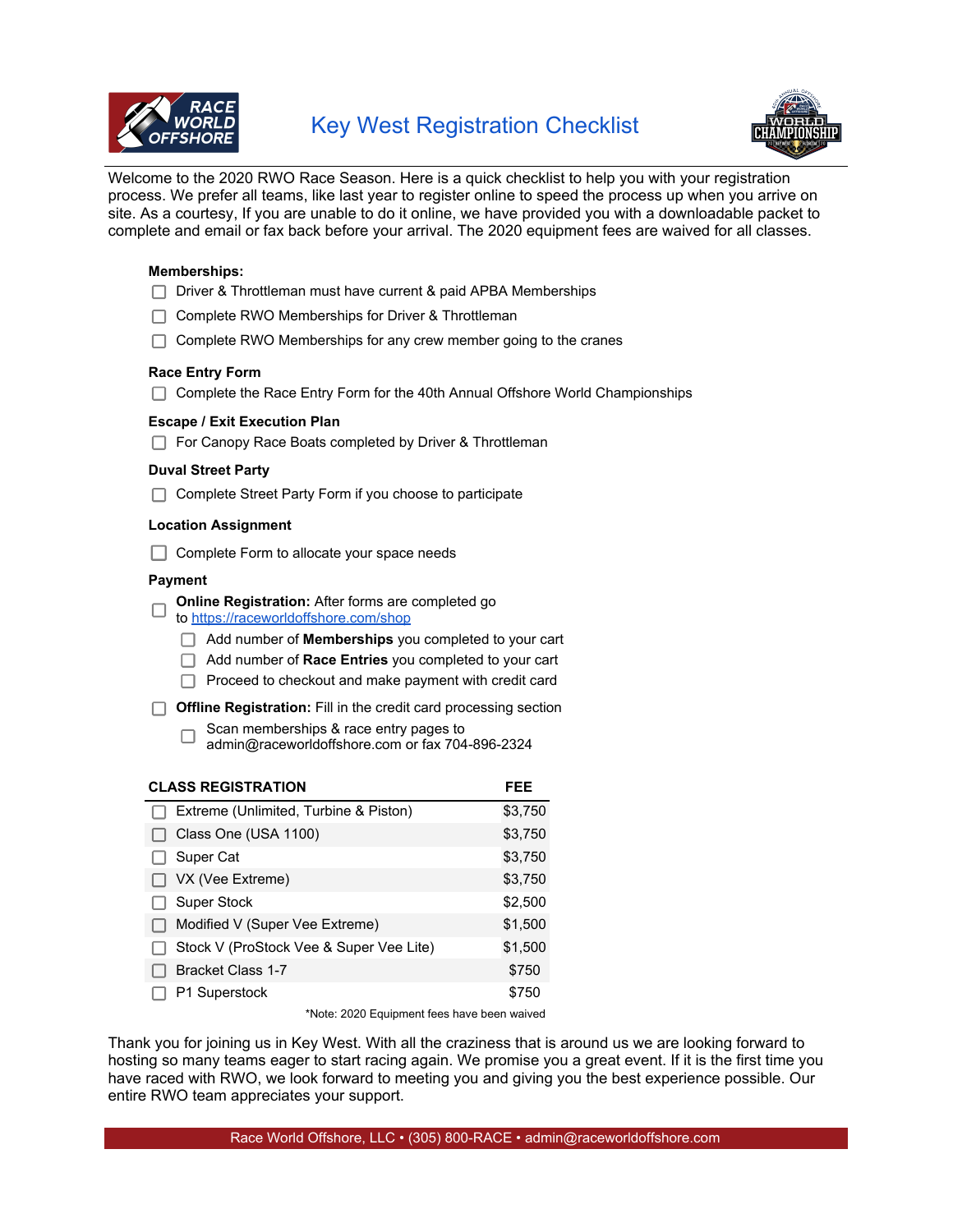



Welcome to the 2020 RWO Race Season. Here is a quick checklist to help you with your registration process. We prefer all teams, like last year to register online to speed the process up when you arrive on site. As a courtesy, If you are unable to do it online, we have provided you with a downloadable packet to complete and email or fax back before your arrival. The 2020 equipment fees are waived for all classes.

#### **Memberships:**

- □ Driver & Throttleman must have current & paid APBA Memberships
- □ Complete RWO Memberships for Driver & Throttleman
- $\Box$  Complete RWO Memberships for any crew member going to the cranes

#### **Race Entry Form**

|  | ◯ Complete the Race Entry Form for the 40th Annual Offshore World Championships |  |  |  |  |
|--|---------------------------------------------------------------------------------|--|--|--|--|
|--|---------------------------------------------------------------------------------|--|--|--|--|

#### **Escape / Exit Execution Plan**

|  | For Canopy Race Boats completed by Driver & Throttleman |  |
|--|---------------------------------------------------------|--|
|  |                                                         |  |

#### **Duval Street Party**

 $\Box$  Complete Street Party Form if you choose to participate

#### **Location Assignment**

□ Complete Form to allocate your space needs

#### **Payment**

**Online Registration:** After forms are completed go  $\Box$ 

- to https://raceworldoffshore.com/shop
	- Add number of **Memberships** you completed to your cart
	- Add number of **Race Entries** you completed to your cart
	- $\Box$  Proceed to checkout and make payment with credit card
- **Offline Registration:** Fill in the credit card processing section
	- Scan memberships & race entry pages to  $\Box$ admin@raceworldoffshore.com or fax 704-896-2324

| <b>CLASS REGISTRATION</b>               | FEE     |
|-----------------------------------------|---------|
| Extreme (Unlimited, Turbine & Piston)   | \$3,750 |
| Class One (USA 1100)                    | \$3,750 |
| Super Cat                               | \$3,750 |
| VX (Vee Extreme)                        | \$3,750 |
| Super Stock                             | \$2,500 |
| Modified V (Super Vee Extreme)          | \$1,500 |
| Stock V (ProStock Vee & Super Vee Lite) | \$1,500 |
| <b>Bracket Class 1-7</b>                | \$750   |
| P1 Superstock                           | \$750   |

\*Note: 2020 Equipment fees have been waived

Thank you for joining us in Key West. With all the craziness that is around us we are looking forward to hosting so many teams eager to start racing again. We promise you a great event. If it is the first time you have raced with RWO, we look forward to meeting you and giving you the best experience possible. Our entire RWO team appreciates your support.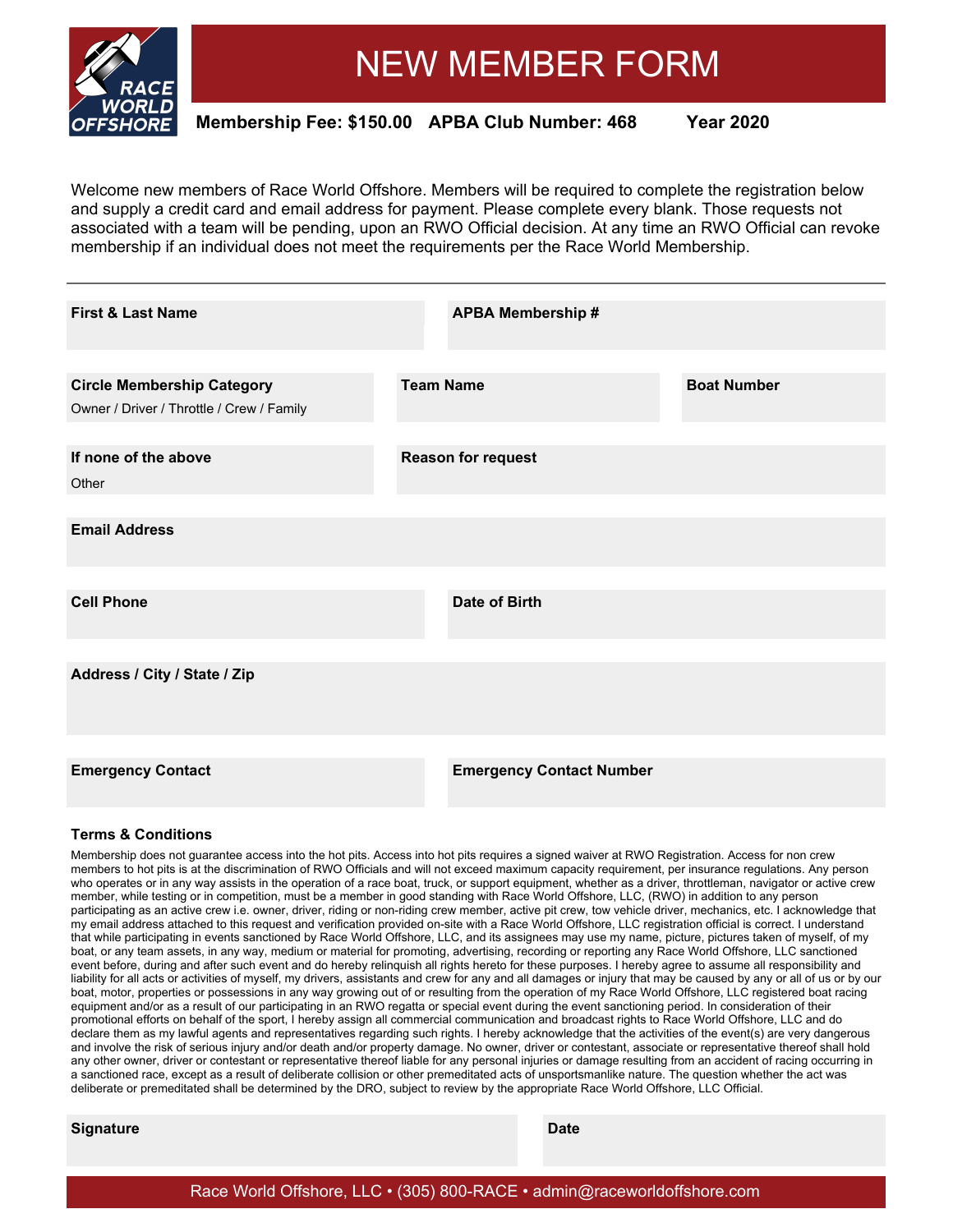

# NEW MEMBER FORM

**Membership Fee: \$150.00 APBA Club Number: 468 Year 2020**

Welcome new members of Race World Offshore. Members will be required to complete the registration below and supply a credit card and email address for payment. Please complete every blank. Those requests not associated with a team will be pending, upon an RWO Official decision. At any time an RWO Official can revoke membership if an individual does not meet the requirements per the Race World Membership.

| <b>First &amp; Last Name</b>                                                   | <b>APBA Membership #</b>        |                    |
|--------------------------------------------------------------------------------|---------------------------------|--------------------|
| <b>Circle Membership Category</b><br>Owner / Driver / Throttle / Crew / Family | <b>Team Name</b>                | <b>Boat Number</b> |
| If none of the above<br>Other                                                  | <b>Reason for request</b>       |                    |
| <b>Email Address</b>                                                           |                                 |                    |
| <b>Cell Phone</b>                                                              | Date of Birth                   |                    |
| Address / City / State / Zip                                                   |                                 |                    |
| <b>Emergency Contact</b>                                                       | <b>Emergency Contact Number</b> |                    |

#### **Terms & Conditions**

Membership does not guarantee access into the hot pits. Access into hot pits requires a signed waiver at RWO Registration. Access for non crew members to hot pits is at the discrimination of RWO Officials and will not exceed maximum capacity requirement, per insurance regulations. Any person who operates or in any way assists in the operation of a race boat, truck, or support equipment, whether as a driver, throttleman, navigator or active crew member, while testing or in competition, must be a member in good standing with Race World Offshore, LLC, (RWO) in addition to any person participating as an active crew i.e. owner, driver, riding or non-riding crew member, active pit crew, tow vehicle driver, mechanics, etc. I acknowledge that my email address attached to this request and verification provided on-site with a Race World Offshore, LLC registration official is correct. I understand that while participating in events sanctioned by Race World Offshore, LLC, and its assignees may use my name, picture, pictures taken of myself, of my boat, or any team assets, in any way, medium or material for promoting, advertising, recording or reporting any Race World Offshore, LLC sanctioned event before, during and after such event and do hereby relinquish all rights hereto for these purposes. I hereby agree to assume all responsibility and liability for all acts or activities of myself, my drivers, assistants and crew for any and all damages or injury that may be caused by any or all of us or by our boat, motor, properties or possessions in any way growing out of or resulting from the operation of my Race World Offshore, LLC registered boat racing equipment and/or as a result of our participating in an RWO regatta or special event during the event sanctioning period. In consideration of their promotional efforts on behalf of the sport, I hereby assign all commercial communication and broadcast rights to Race World Offshore, LLC and do declare them as my lawful agents and representatives regarding such rights. I hereby acknowledge that the activities of the event(s) are very dangerous and involve the risk of serious injury and/or death and/or property damage. No owner, driver or contestant, associate or representative thereof shall hold any other owner, driver or contestant or representative thereof liable for any personal injuries or damage resulting from an accident of racing occurring in a sanctioned race, except as a result of deliberate collision or other premeditated acts of unsportsmanlike nature. The question whether the act was deliberate or premeditated shall be determined by the DRO, subject to review by the appropriate Race World Offshore, LLC Official.

#### **Signature Date**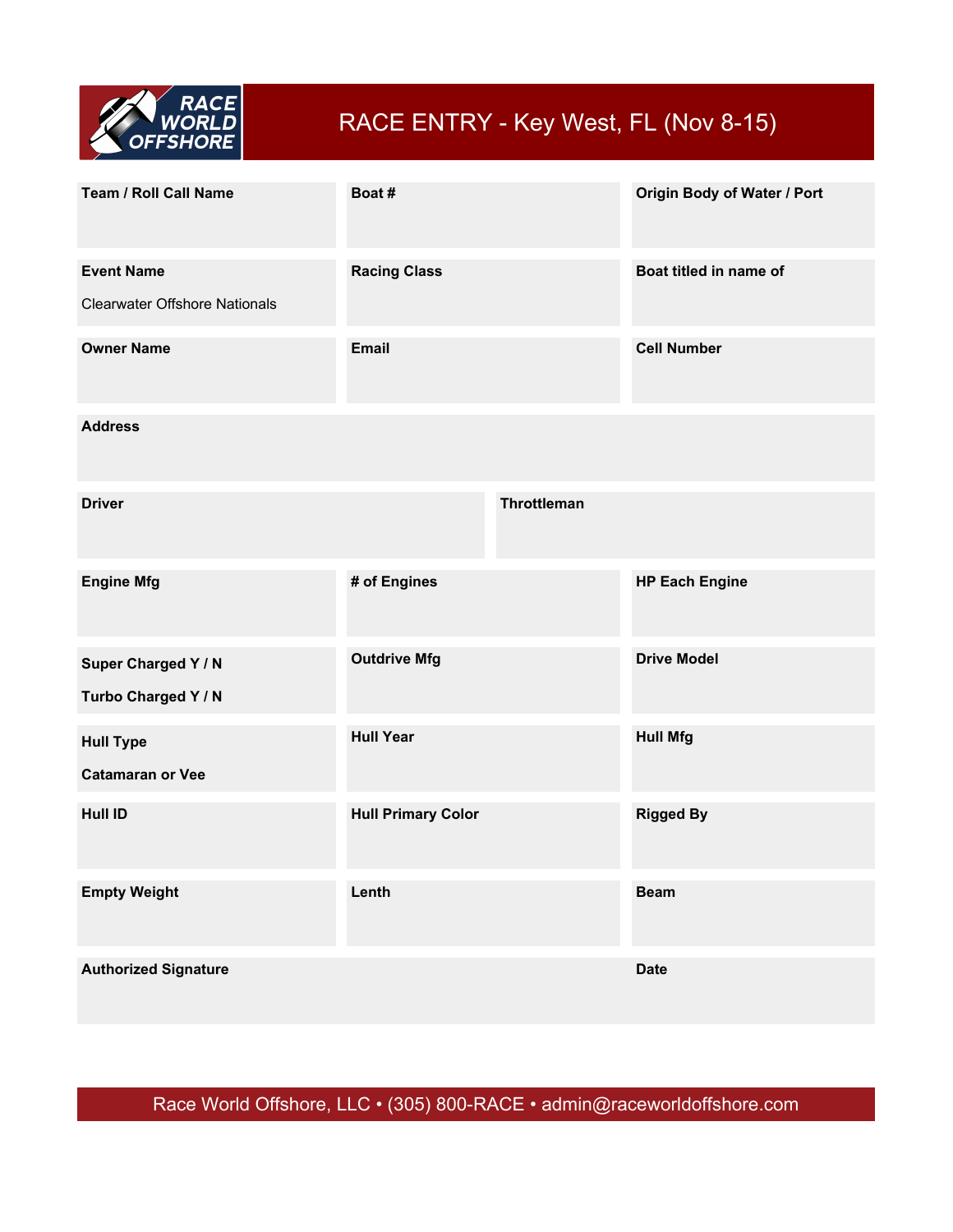

## RACE ENTRY - Key West, FL (Nov 8-15)

| Team / Roll Call Name                                     | Boat#                     |                    | Origin Body of Water / Port |
|-----------------------------------------------------------|---------------------------|--------------------|-----------------------------|
| <b>Event Name</b><br><b>Clearwater Offshore Nationals</b> | <b>Racing Class</b>       |                    | Boat titled in name of      |
| <b>Owner Name</b>                                         | <b>Email</b>              |                    | <b>Cell Number</b>          |
| <b>Address</b>                                            |                           |                    |                             |
| <b>Driver</b>                                             |                           | <b>Throttleman</b> |                             |
| <b>Engine Mfg</b>                                         | # of Engines              |                    | <b>HP Each Engine</b>       |
| Super Charged Y / N<br>Turbo Charged Y / N                | <b>Outdrive Mfg</b>       |                    | <b>Drive Model</b>          |
| <b>Hull Type</b><br><b>Catamaran or Vee</b>               | <b>Hull Year</b>          |                    | <b>Hull Mfg</b>             |
| <b>Hull ID</b>                                            | <b>Hull Primary Color</b> |                    | <b>Rigged By</b>            |
| <b>Empty Weight</b>                                       | Lenth                     |                    | <b>Beam</b>                 |
| <b>Authorized Signature</b>                               |                           |                    | <b>Date</b>                 |

Race World Offshore, LLC • (305) 800-RACE • admin@raceworldoffshore.com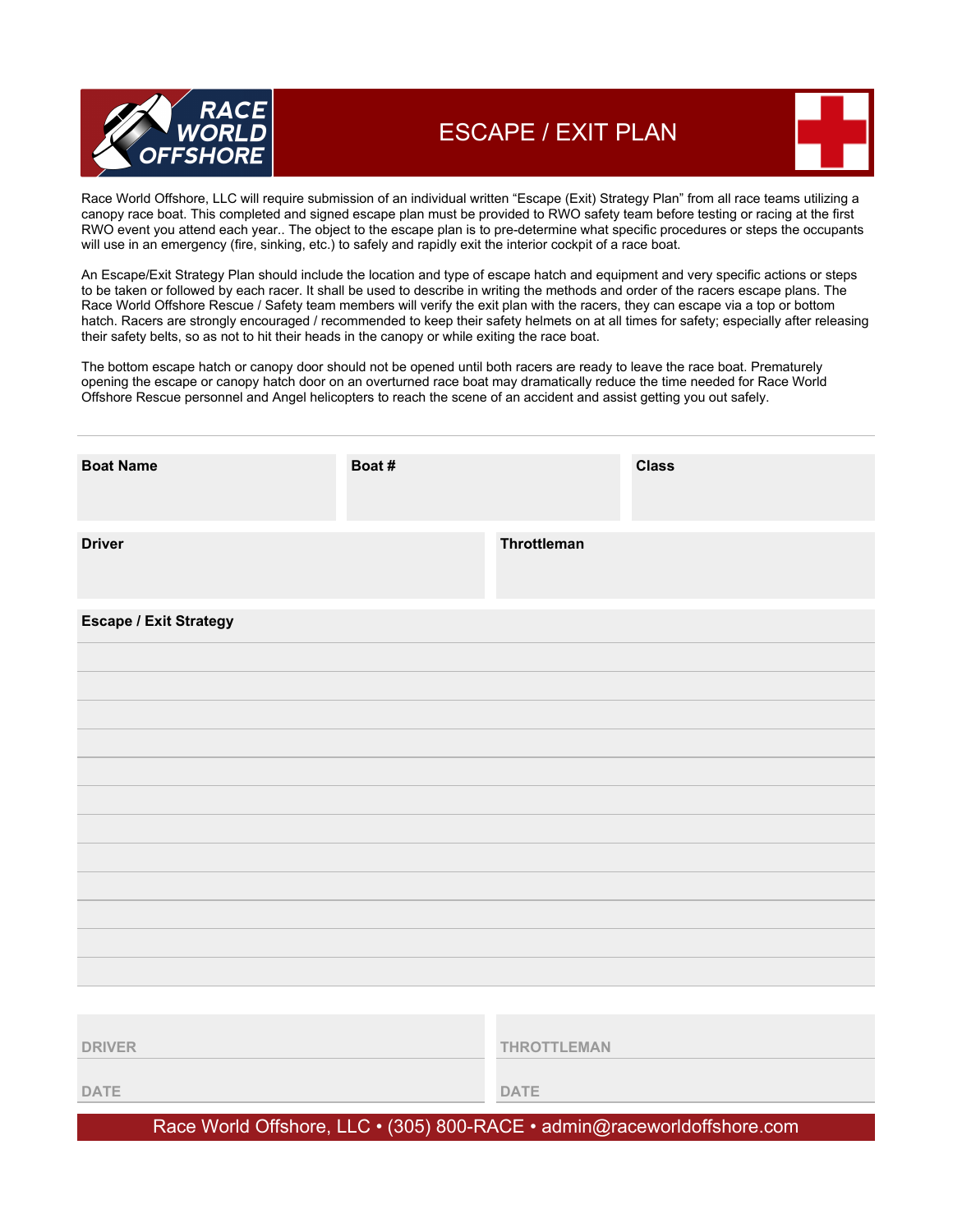

### ESCAPE / EXIT PLAN

Race World Offshore, LLC will require submission of an individual written "Escape (Exit) Strategy Plan" from all race teams utilizing a canopy race boat. This completed and signed escape plan must be provided to RWO safety team before testing or racing at the first RWO event you attend each year.. The object to the escape plan is to pre-determine what specific procedures or steps the occupants will use in an emergency (fire, sinking, etc.) to safely and rapidly exit the interior cockpit of a race boat.

An Escape/Exit Strategy Plan should include the location and type of escape hatch and equipment and very specific actions or steps to be taken or followed by each racer. It shall be used to describe in writing the methods and order of the racers escape plans. The Race World Offshore Rescue / Safety team members will verify the exit plan with the racers, they can escape via a top or bottom hatch. Racers are strongly encouraged / recommended to keep their safety helmets on at all times for safety; especially after releasing their safety belts, so as not to hit their heads in the canopy or while exiting the race boat.

The bottom escape hatch or canopy door should not be opened until both racers are ready to leave the race boat. Prematurely opening the escape or canopy hatch door on an overturned race boat may dramatically reduce the time needed for Race World Offshore Rescue personnel and Angel helicopters to reach the scene of an accident and assist getting you out safely.

**DATE DATE**

Race World Offshore, LLC • (305) 800-RACE • admin@raceworldoffshore.com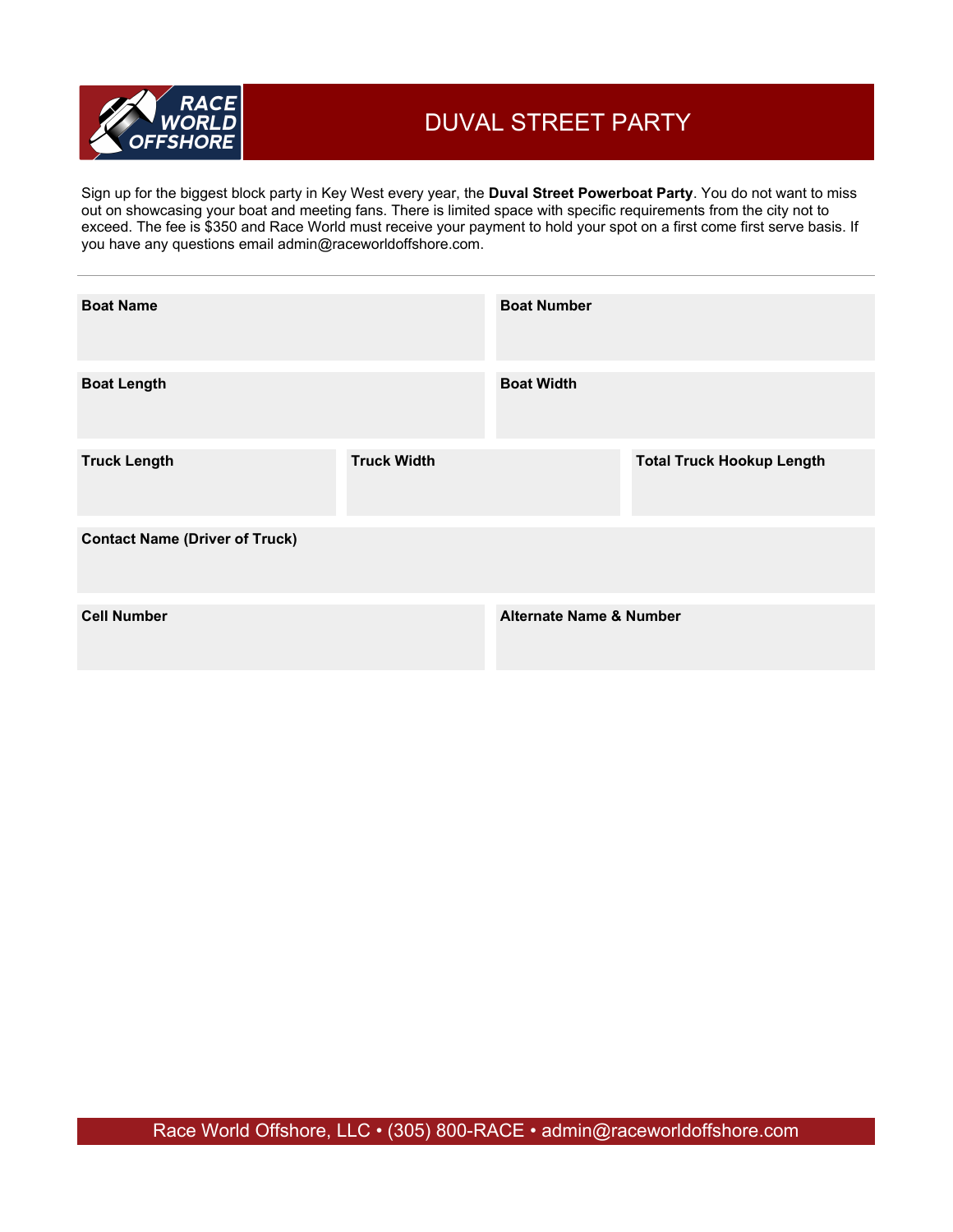

### DUVAL STREET PARTY

Sign up for the biggest block party in Key West every year, the **Duval Street Powerboat Party**. You do not want to miss out on showcasing your boat and meeting fans. There is limited space with specific requirements from the city not to exceed. The fee is \$350 and Race World must receive your payment to hold your spot on a first come first serve basis. If you have any questions email admin@raceworldoffshore.com.

| <b>Boat Name</b>                      |                    | <b>Boat Number</b>                 |                                  |
|---------------------------------------|--------------------|------------------------------------|----------------------------------|
| <b>Boat Length</b>                    |                    | <b>Boat Width</b>                  |                                  |
| <b>Truck Length</b>                   | <b>Truck Width</b> |                                    | <b>Total Truck Hookup Length</b> |
| <b>Contact Name (Driver of Truck)</b> |                    |                                    |                                  |
| <b>Cell Number</b>                    |                    | <b>Alternate Name &amp; Number</b> |                                  |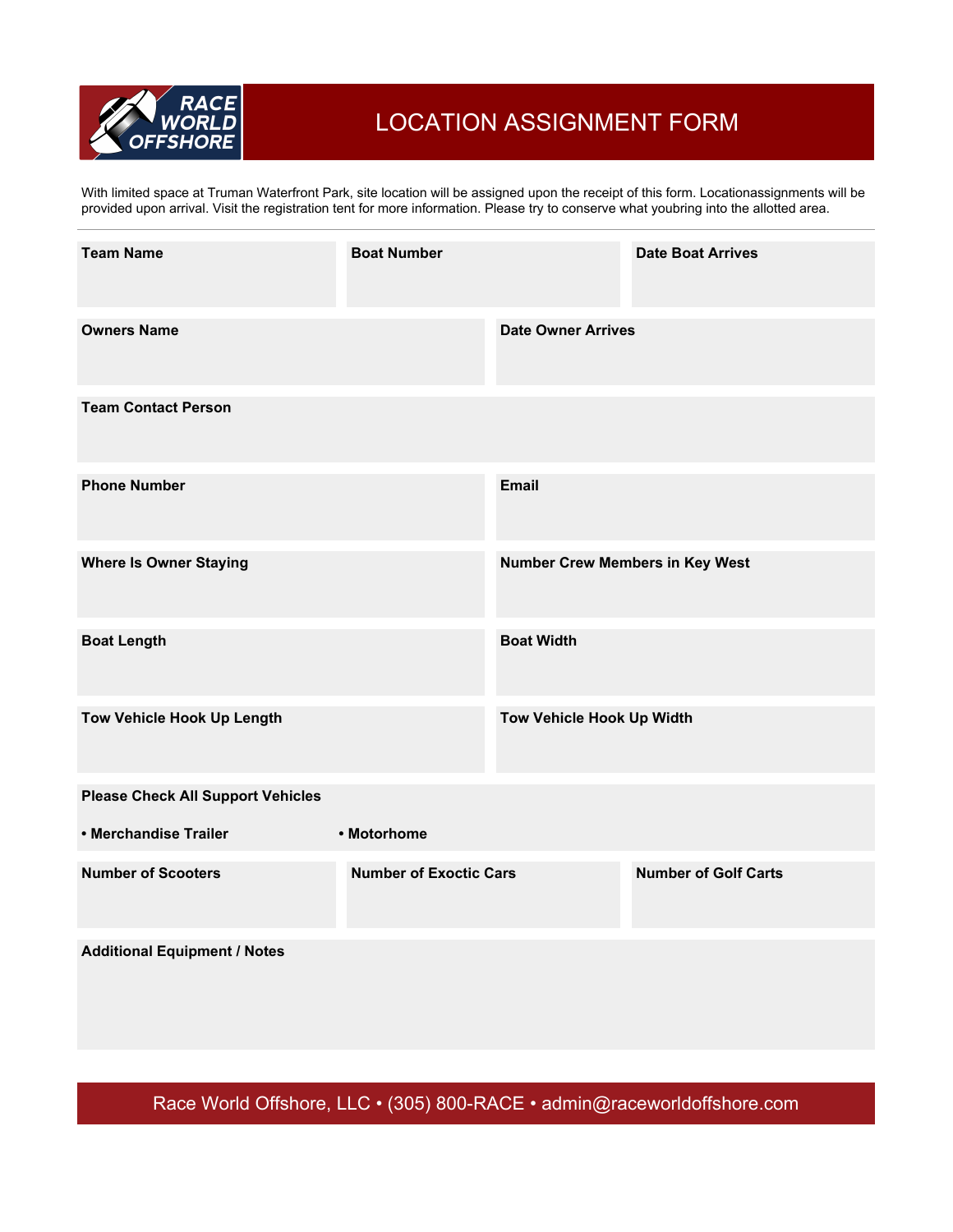

### LOCATION ASSIGNMENT FORM

With limited space at Truman Waterfront Park, site location will be assigned upon the receipt of this form. Locationassignments will be provided upon arrival. Visit the registration tent for more information. Please try to conserve what youbring into the allotted area.

| <b>Team Name</b>                         | <b>Boat Number</b>            |                                        | <b>Date Boat Arrives</b>    |
|------------------------------------------|-------------------------------|----------------------------------------|-----------------------------|
| <b>Owners Name</b>                       |                               | <b>Date Owner Arrives</b>              |                             |
| <b>Team Contact Person</b>               |                               |                                        |                             |
| <b>Phone Number</b>                      |                               | Email                                  |                             |
| <b>Where Is Owner Staying</b>            |                               | <b>Number Crew Members in Key West</b> |                             |
| <b>Boat Length</b>                       |                               | <b>Boat Width</b>                      |                             |
| Tow Vehicle Hook Up Length               |                               | Tow Vehicle Hook Up Width              |                             |
| <b>Please Check All Support Vehicles</b> |                               |                                        |                             |
| • Merchandise Trailer                    | • Motorhome                   |                                        |                             |
| <b>Number of Scooters</b>                | <b>Number of Exoctic Cars</b> |                                        | <b>Number of Golf Carts</b> |
| <b>Additional Equipment / Notes</b>      |                               |                                        |                             |

Race World Offshore, LLC • (305) 800-RACE • admin@raceworldoffshore.com